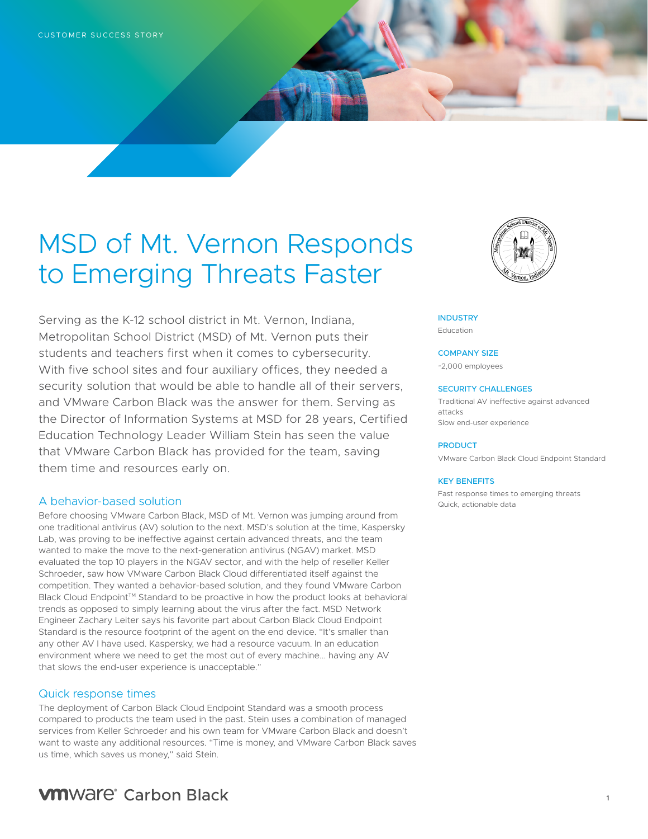# MSD of Mt. Vernon Responds to Emerging Threats Faster

Serving as the K-12 school district in Mt. Vernon, Indiana, Metropolitan School District (MSD) of Mt. Vernon puts their students and teachers first when it comes to cybersecurity. With five school sites and four auxiliary offices, they needed a security solution that would be able to handle all of their servers, and VMware Carbon Black was the answer for them. Serving as the Director of Information Systems at MSD for 28 years, Certified Education Technology Leader William Stein has seen the value that VMware Carbon Black has provided for the team, saving them time and resources early on.

## A behavior-based solution

Before choosing VMware Carbon Black, MSD of Mt. Vernon was jumping around from one traditional antivirus (AV) solution to the next. MSD's solution at the time, Kaspersky Lab, was proving to be ineffective against certain advanced threats, and the team wanted to make the move to the next-generation antivirus (NGAV) market. MSD evaluated the top 10 players in the NGAV sector, and with the help of reseller Keller Schroeder, saw how VMware Carbon Black Cloud differentiated itself against the competition. They wanted a behavior-based solution, and they found VMware Carbon Black Cloud Endpoint™ Standard to be proactive in how the product looks at behavioral trends as opposed to simply learning about the virus after the fact. MSD Network Engineer Zachary Leiter says his favorite part about Carbon Black Cloud Endpoint Standard is the resource footprint of the agent on the end device. "It's smaller than any other AV I have used. Kaspersky, we had a resource vacuum. In an education environment where we need to get the most out of every machine... having any AV that slows the end-user experience is unacceptable."

## Quick response times

The deployment of Carbon Black Cloud Endpoint Standard was a smooth process compared to products the team used in the past. Stein uses a combination of managed services from Keller Schroeder and his own team for VMware Carbon Black and doesn't want to waste any additional resources. "Time is money, and VMware Carbon Black saves us time, which saves us money," said Stein.



**INDUSTRY** Education

COMPANY SIZE ~2,000 employees

#### SECURITY CHALLENGES

Traditional AV ineffective against advanced attacks Slow end-user experience

#### PRODUCT

VMware Carbon Black Cloud Endpoint Standard

#### KEY BENEFITS

Fast response times to emerging threats Quick, actionable data

# **VM**Ware<sup>®</sup> Carbon Black